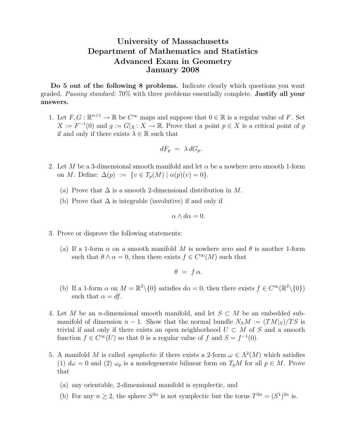## University of Massachusetts Department of Mathematics and Statistics Advanced Exam in Geometry January 2008

Do 5 out of the following 8 problems. Indicate clearly which questions you want graded. Passing standard: 70% with three problems essentially complete. Justify all your answers.

1. Let  $F, G: \mathbb{R}^{n+1} \to \mathbb{R}$  be  $C^{\infty}$  maps and suppose that  $0 \in \mathbb{R}$  is a regular value of F. Set  $X := F^{-1}(0)$  and  $g := G|_X \colon X \to \mathbb{R}$ . Prove that a point  $p \in X$  is a critical point of g if and only if there exists  $\lambda \in \mathbb{R}$  such that

$$
dF_p = \lambda dG_p.
$$

- 2. Let M be a 3-dimensional smooth manifold and let  $\alpha$  be a nowhere zero smooth 1-form on M. Define:  $\Delta(p) := \{v \in T_p(M) \mid \alpha(p)(v) = 0\}.$ 
	- (a) Prove that  $\Delta$  is a smooth 2-dimensional distribution in M.
	- (b) Prove that  $\Delta$  is integrable (involutive) if and only if

$$
\alpha \wedge d\alpha = 0.
$$

- 3. Prove or disprove the following statements:
	- (a) If a 1-form  $\alpha$  on a smooth manifold M is nowhere zero and  $\theta$  is another 1-form such that  $\theta \wedge \alpha = 0$ , then there exists  $f \in C^{\infty}(M)$  such that

$$
\theta = f \alpha.
$$

- (b) If a 1-form  $\alpha$  on  $M = \mathbb{R}^2 \setminus \{0\}$  satisfies  $d\alpha = 0$ , then there exists  $f \in C^\infty(\mathbb{R}^2 \setminus \{0\})$ such that  $\alpha = df$ .
- 4. Let M be an n-dimensional smooth manifold, and let  $S \subset M$  be an embedded submanifold of dimension  $n-1$ . Show that the normal bundle  $N_S M := (TM|_S)/TS$  is trivial if and only if there exists an open neighborhood  $U \subset M$  of S and a smooth function  $f \in C^{\infty}(U)$  so that 0 is a regular value of f and  $S = f^{-1}(0)$ .
- 5. A manifold M is called *symplectic* if there exists a 2-form  $\omega \in \Lambda^2(M)$  which satisfies (1)  $d\omega = 0$  and (2)  $\omega_p$  is a nondegenerate bilinear form on  $T_pM$  for all  $p \in M$ . Prove that
	- (a) any orientable, 2-dimensional manifold is symplectic, and
	- (b) For any  $n \geq 2$ , the sphere  $S^{2n}$  is not symplectic but the torus  $T^{2n} = (S^1)^{2n}$  is.